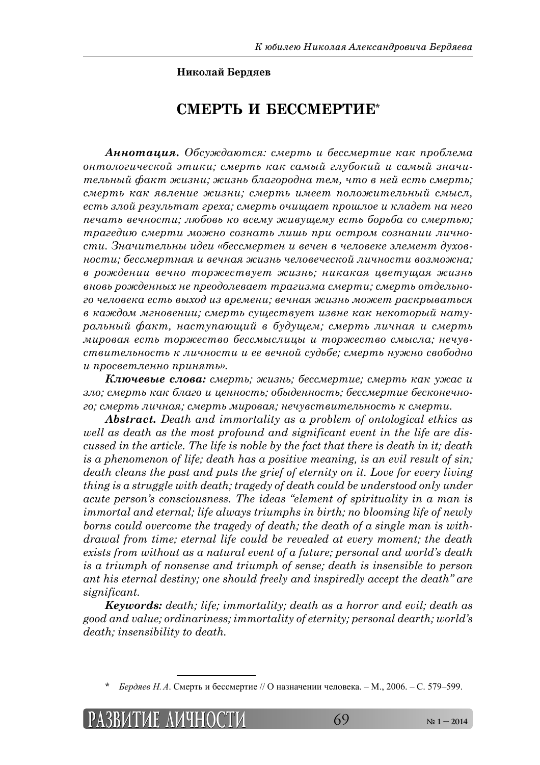## **Николай Бердяев**

## **СМЕРТЬ И БЕССМЕРТИЕ\***

 $A$ **ннотация.** Обсуждаются: смерть и бессмертие как проблема *ȜțȠȜșȜȑȖȥȓȟȘȜȗ ȫȠȖȘȖ; ȟȚȓȞȠȪ ȘȎȘ ȟȎȚȩȗ ȑșȡȏȜȘȖȗ Ȗ ȟȎȚȩȗ ȕțȎȥȖ* $m$ ельный факт жизни; жизнь благородна тем, что в ней есть смерть; *ȟȚȓȞȠȪ ȘȎȘ ȭȐșȓțȖȓ ȔȖȕțȖ; ȟȚȓȞȠȪ ȖȚȓȓȠ ȝȜșȜȔȖȠȓșȪțȩȗ ȟȚȩȟș,*   $e$ сть злой результат греха; смерть очищает прошлое и кладет на него *ȝȓȥȎȠȪ ȐȓȥțȜȟȠȖ; șȬȏȜȐȪ ȘȜ ȐȟȓȚȡ ȔȖȐȡȧȓȚȡ ȓȟȠȪ ȏȜȞȪȏȎ ȟȜ ȟȚȓȞȠȪȬ; ȠȞȎȑȓȒȖȬ ȟȚȓȞȠȖ ȚȜȔțȜ ȟȜȕțȎȠȪ șȖȦȪ ȝȞȖ ȜȟȠȞȜȚ ȟȜȕțȎțȖȖ șȖȥțȜ* $cmu$ . Значительны идеи «бессмертен и вечен в человеке элемент духов*țȜȟȠȖ; ȏȓȟȟȚȓȞȠțȎȭ Ȗ ȐȓȥțȎȭ ȔȖȕțȪ ȥȓșȜȐȓȥȓȟȘȜȗ șȖȥțȜȟȠȖ ȐȜȕȚȜȔțȎ; Ȑ ȞȜȔȒȓțȖȖ ȐȓȥțȜ ȠȜȞȔȓȟȠȐȡȓȠ ȔȖȕțȪ; țȖȘȎȘȎȭ ȤȐȓȠȡȧȎȭ ȔȖȕțȪ ȐțȜȐȪ ȞȜȔȒȓțțȩȣ țȓ ȝȞȓȜȒȜșȓȐȎȓȠ ȠȞȎȑȖȕȚȎ ȟȚȓȞȠȖ; ȟȚȓȞȠȪ ȜȠȒȓșȪțȜȑȜ ȥȓșȜȐȓȘȎ ȓȟȠȪ ȐȩȣȜȒ Ȗȕ ȐȞȓȚȓțȖ; ȐȓȥțȎȭ ȔȖȕțȪ ȚȜȔȓȠ ȞȎȟȘȞȩȐȎȠȪȟȭ Ȑ ȘȎȔȒȜȚ ȚȑțȜȐȓțȖȖ; ȟȚȓȞȠȪ ȟȡȧȓȟȠȐȡȓȠ ȖȕȐțȓ ȘȎȘ țȓȘȜȠȜȞȩȗ țȎȠȡ* $pa$ льный факт, наступающий в будущем; смерть личная и смерть *ȚȖȞȜȐȎȭ ȓȟȠȪ ȠȜȞȔȓȟȠȐȜ ȏȓȟȟȚȩȟșȖȤȩ Ȗ ȠȜȞȔȓȟȠȐȜ ȟȚȩȟșȎ; țȓȥȡȐ* $m$ *єтвительность к личности и ее вечной судьбе; смерть нужно свободно*  $\mu$  просветленно принять».

**Ключевые слова:** смерть; жизнь; бессмертие; смерть как ужас и  $370$ ; смерть как благо и ценность; обыденность; бессмертие бесконечно- $20$ ; смерть личная; смерть мировая; нечувствительность к смерти.

*Abstract. Death and immortality as a problem of ontological ethics as well as death as the most profound and significant event in the life are discussed in the article. The life is noble by the fact that there is death in it; death is a phenomenon of life; death has a positive meaning, is an evil result of sin; death cleans the past and puts the grief of eternity on it. Love for every living thing is a struggle with death; tragedy of death could be understood only under acute person's consciousness. The ideas "element of spirituality in a man is immortal and eternal; life always triumphs in birth; no blooming life of newly borns could overcome the tragedy of death; the death of a single man is withdrawal from time; eternal life could be revealed at every moment; the death exists from without as a natural event of a future; personal and world's death is a triumph of nonsense and triumph of sense; death is insensible to person ant his eternal destiny; one should freely and inspiredly accept the death" are significant.* 

*Keywords: death; life; immortality; death as a horror and evil; death as good and value; ordinariness; immortality of eternity; personal dearth; world's death; insensibility to death.* 

*Бердяев Н.А.* Смерть и бессмертие // О назначении человека. – М., 2006. – С. 579–599.

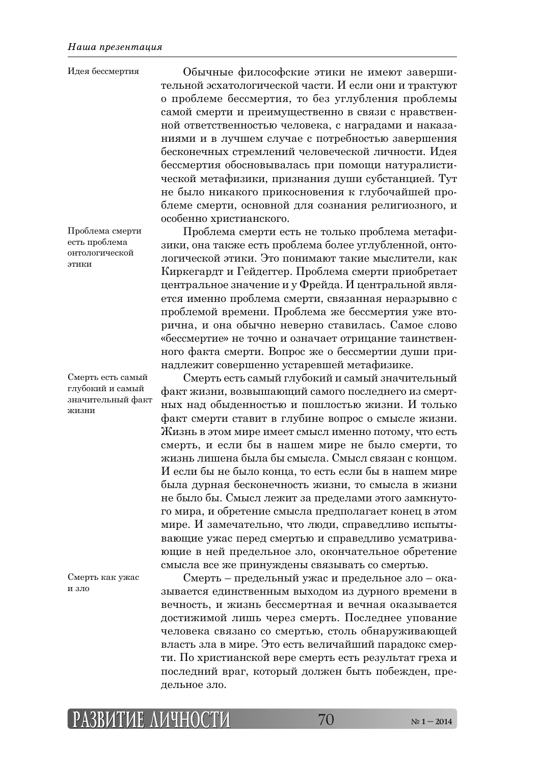Обычные философские этики не имеют завершительной эсхатологической части. И если они и трактуют о проблеме бессмертия, то без углубления проблемы самой смерти и преимущественно в связи с нравственной ответственностью человека, с наградами и наказаниями и в лучшем случае с потребностью завершения бесконечных стремлений человеческой личности. Идея бессмертия обосновывалась при помощи натуралистической метафизики, признания души субстанцией. Тут не было никакого прикосновения к глубочайшей проблеме смерти, основной для сознания религиозного, и особенно христианского. Идея бессмертия

Проблема смерти есть не только проблема метафизики, она также есть проблема более углубленной, онтологической этики. Это понимают такие мыслители, как Киркегардт и Гейдеггер. Проблема смерти приобретает центральное значение и у Фрейда. И центральной является именно проблема смерти, связанная неразрывно с проблемой времени. Проблема же бессмертия уже вторична, и она обычно неверно ставилась. Самое слово «бессмертие» не точно и означает отрицание таинственного факта смерти. Вопрос же о бессмертии души принадлежит совершенно устаревшей метафизике.

Смерть есть самый глубокий и самый значительный факт жизни, возвышающий самого последнего из смертных над обыденностью и пошлостью жизни. И только факт смерти ставит в глубине вопрос о смысле жизни. Жизнь в этом мире имеет смысл именно потому, что есть смерть, и если бы в нашем мире не было смерти, то жизнь лишена была бы смысла. Смысл связан с концом. И если бы не было конца, то есть если бы в нашем мире была дурная бесконечность жизни, то смысла в жизни не было бы. Смысл лежит за пределами этого замкнутого мира, и обретение смысла предполагает конец в этом мире. И замечательно, что люди, справедливо испытывающие ужас перед смертью и справедливо усматривающие в ней предельное зло, окончательное обретение смысла все же принуждены связывать со смертью.

Смерть – предельный ужас и предельное зло – оказывается единственным выходом из дурного времени в вечность, и жизнь бессмертная и вечная оказывается достижимой лишь через смерть. Последнее упование человека связано со смертью, столь обнаруживающей власть зла в мире. Это есть величайший парадокс смерти. По христианской вере смерть есть результат греха и последний враг, который должен быть побежден, предельное зло.

Проблема смерти есть проблема онтологической этики

Смерть есть самый глубокий и самый значительный факт жизни

Смерть как ужас и зло

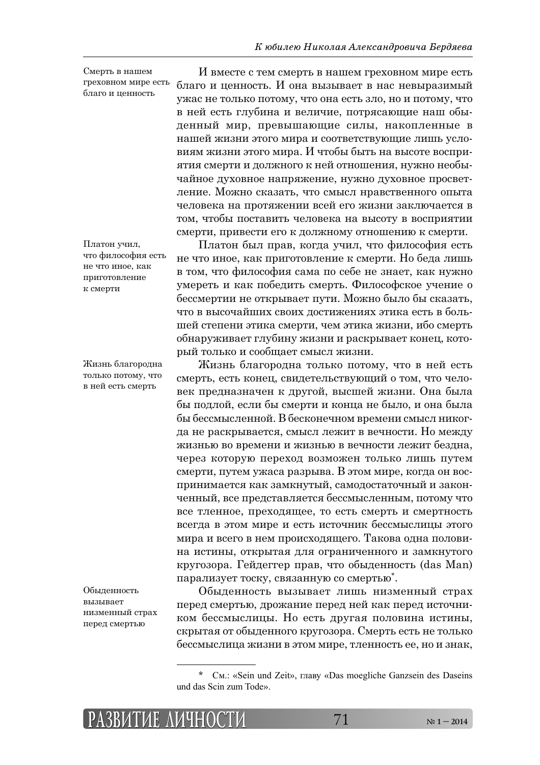Смерть в нашем треховном мире есть благо и ценность

Платон учил, что философия есть не что иное, как приготовление к смерти

Жизнь благородна только потому, что в ней есть смерть

Обыденность вызывает низменный страх перед смертью

И вместе с тем смерть в нашем греховном мире есть благо и ценность. И она вызывает в нас невыразимый ужас не только потому, что она есть зло, но и потому, что в ней есть глубина и величие, потрясающие наш обыденный мир, превышающие силы, накопленные в нашей жизни этого мира и соответствующие лишь условиям жизни этого мира. И чтобы быть на высоте восприятия смерти и должного к ней отношения, нужно необычайное духовное напряжение, нужно духовное просветление. Можно сказать, что смысл нравственного опыта человека на протяжении всей его жизни заключается в том, чтобы поставить человека на высоту в восприятии смерти, привести его к должному отношению к смерти.

Платон был прав, когда учил, что философия есть не что иное, как приготовление к смерти. Но беда лишь в том, что философия сама по себе не знает, как нужно умереть и как победить смерть. Философское учение о бессмертии не открывает пути. Можно было бы сказать, что в высочайших своих достижениях этика есть в большей степени этика смерти, чем этика жизни, ибо смерть обнаруживает глубину жизни и раскрывает конец, который только и сообщает смысл жизни.

Жизнь благородна только потому, что в ней есть смерть, есть конец, свидетельствующий о том, что человек предназначен к другой, высшей жизни. Она была бы подлой, если бы смерти и конца не было, и она была бы бессмысленной. В бесконечном времени смысл никогда не раскрывается, смысл лежит в вечности. Но между жизнью во времени и жизнью в вечности лежит бездна, через которую переход возможен только лишь путем смерти, путем ужаса разрыва. В этом мире, когда он воспринимается как замкнутый, самодостаточный и законченный, все представляется бессмысленным, потому что все тленное, преходящее, то есть смерть и смертность всегда в этом мире и есть источник бессмыслицы этого мира и всего в нем происходящего. Такова одна половина истины, открытая для ограниченного и замкнутого кругозора. Гейдеггер прав, что обыденность (das Man) парализует тоску, связанную со смертью\*.

Обыденность вызывает лишь низменный страх перед смертью, дрожание перед ней как перед источником бессмыслицы. Но есть другая половина истины, скрытая от обыденного кругозора. Смерть есть не только бессмыслица жизни в этом мире, тленность ее, но и знак,

См.: «Sein und Zeit», главу «Das moegliche Ganzsein des Daseins und das Scin zum Tode».

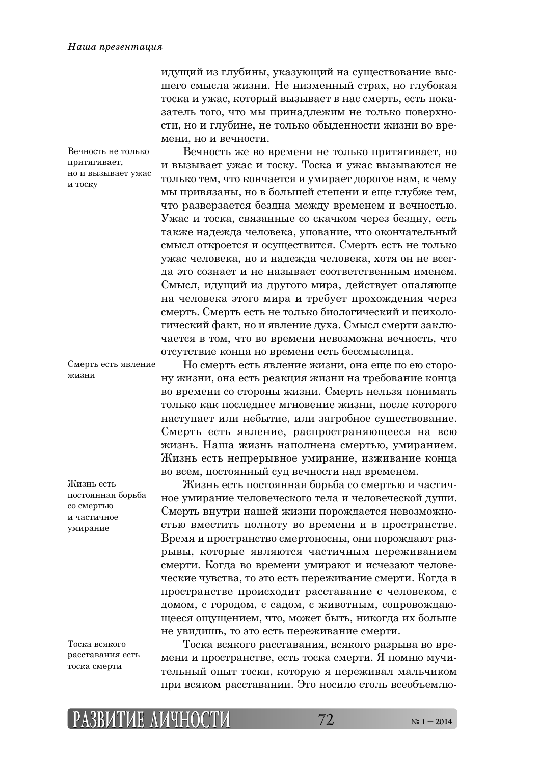идущий из глубины, указующий на существование высшего смысла жизни. Не низменный страх, но глубокая тоска и ужас, который вызывает в нас смерть, есть показатель того, что мы принадлежим не только поверхности, но и глубине, не только обыденности жизни во времени, но и вечности.

Вечность не только притягивает, но и вызывает ужас и тоску

Вечность же во времени не только притягивает, но и вызывает ужас и тоску. Тоска и ужас вызываются не только тем, что кончается и умирает дорогое нам, к чему мы привязаны, но в большей степени и еще глубже тем, что разверзается бездна между временем и вечностью. Ужас и тоска, связанные со скачком через бездну, есть также надежда человека, упование, что окончательный смысл откроется и осуществится. Смерть есть не только ужас человека, но и надежда человека, хотя он не всегда это сознает и не называет соответственным именем. Смысл, идущий из другого мира, действует опаляюще на человека этого мира и требует прохождения через смерть. Смерть есть не только биологический и психологический факт, но и явление духа. Смысл смерти заключается в том, что во времени невозможна вечность, что отсутствие конца но времени есть бессмыслица.

Смерть есть явление жизни

Но смерть есть явление жизни, она еще по ею сторону жизни, она есть реакция жизни на требование конца во времени со стороны жизни. Смерть нельзя понимать только как последнее мгновение жизни, после которого наступает или небытие, или загробное существование. Смерть есть явление, распространяющееся на всю жизнь. Наша жизнь наполнена смертью, умиранием. Жизнь есть непрерывное умирание, изживание конца во всем, постоянный суд вечности над временем.

Жизнь есть постоянная борьба со смертью и частичное умирание человеческого тела и человеческой души. Смерть внутри нашей жизни порождается невозможно-СТЬЮ ВМЕСТИТЬ ПОЛНОТУ ВО ВРЕМЕНИ И В ПРОСТРАНСТВЕ. Время и пространство смертоносны, они порождают разрывы, которые являются частичным переживанием смерти. Когда во времени умирают и исчезают человеческие чувства, то это есть переживание смерти. Когда в пространстве происходит расставание с человеком, с ДОМОМ, С ГОРОДОМ, С САДОМ, С ЖИВОТНЫМ, СОПРОВОЖДАЮщееся ощущением, что, может быть, никогда их больше не увидишь, то это есть переживание смерти.

постоянная борьба

Жизнь есть

со смертью и частичное vмирание

Тоска всякого расставания есть тоска смерти

Тоска всякого расставания, всякого разрыва во времени и пространстве, есть тоска смерти. Я помню мучительный опыт тоски, которую я переживал мальчиком при всяком расставании. Это носило столь всеобъемлю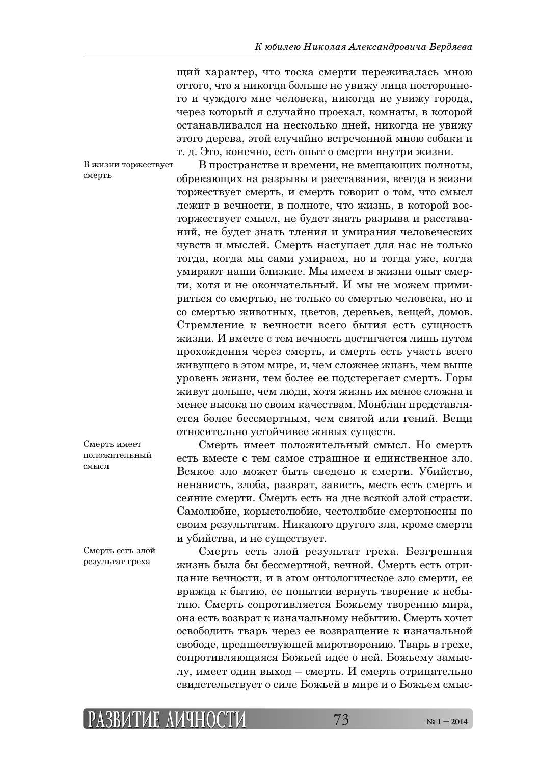щий характер, что тоска смерти переживалась мною оттого, что я никогда больше не увижу лица постороннего и чуждого мне человека, никогда не увижу города, через который я случайно проехал, комнаты, в которой останавливался на несколько дней, никогда не увижу этого дерева, этой случайно встреченной мною собаки и т. д. Это, конечно, есть опыт о смерти внутри жизни.

В жизни торжествует смерть

В пространстве и времени, не вмещающих полноты, обрекающих на разрывы и расставания, всегда в жизни торжествует смерть, и смерть говорит о том, что смысл лежит в вечности, в полноте, что жизнь, в которой восторжествует смысл, не будет знать разрыва и расставаний, не будет знать тления и умирания человеческих чувств и мыслей. Смерть наступает для нас не только тогда, когда мы сами умираем, но и тогда уже, когда умирают наши близкие. Мы имеем в жизни опыт смерти, хотя и не окончательный. И мы не можем примириться со смертью, не только со смертью человека, но и со смертью животных, цветов, деревьев, вещей, домов. Стремление к вечности всего бытия есть сущность жизни. И вместе с тем вечность достигается лишь путем прохождения через смерть, и смерть есть участь всего живущего в этом мире, и, чем сложнее жизнь, чем выше уровень жизни, тем более ее подстерегает смерть. Горы живут дольше, чем люди, хотя жизнь их менее сложна и менее высока по своим качествам. Монблан представляется более бессмертным, чем святой или гений. Вещи относительно устойчивее живых существ.

Смерть имеет положительный  $c$ mți $c$  $\pi$ 

Смерть имеет положительный смысл. Но смерть есть вместе с тем самое страшное и единственное зло. Всякое зло может быть сведено к смерти. Убийство, ненависть, злоба, разврат, зависть, месть есть смерть и сеяние смерти. Смерть есть на дне всякой злой страсти. Самолюбие, корыстолюбие, честолюбие смертоносны по своим результатам. Никакого другого зла, кроме смерти и убийства, и не существует.

Смерть есть злой результат греха

Смерть есть злой результат греха. Безгрешная жизнь была бы бессмертной, вечной. Смерть есть отрицание вечности, и в этом онтологическое зло смерти, ее вражда к бытию, ее попытки вернуть творение к небытию. Смерть сопротивляется Божьему творению мира, она есть возврат к изначальному небытию. Смерть хочет освободить тварь через ее возвращение к изначальной свободе, предшествующей миротворению. Тварь в грехе, сопротивляющаяся Божьей идее о ней. Божьему замысду, имеет один выход – смерть. И смерть отрицательно свидетельствует о силе Божьей в мире и о Божьем смыс-

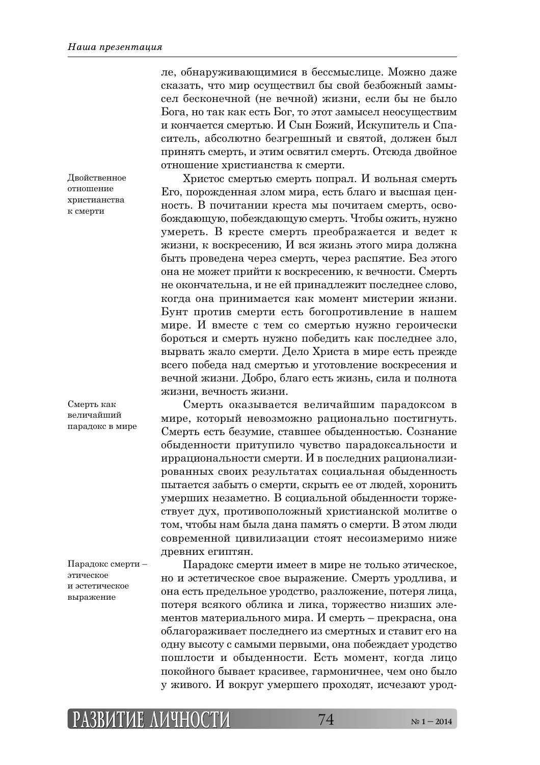Двойственное отношение христианства к смерти

ле, обнаруживающимися в бессмыслице. Можно даже сказать, что мир осуществил бы свой безбожный замысел бесконечной (не вечной) жизни, если бы не было Бога, но так как есть Бог, то этот замысел неосуществим и кончается смертью. И Сын Божий, Искупитель и Спаситель, абсолютно безгрешный и святой, должен был принять смерть, и этим освятил смерть. Отсюда двойное отношение христианства к смерти.

Христос смертью смерть попрал. И вольная смерть Его, порожденная злом мира, есть благо и высшая ценность. В почитании креста мы почитаем смерть, освобождающую, побеждающую смерть. Чтобы ожить, нужно умереть. В кресте смерть преображается и ведет к жизни, к воскресению, И вся жизнь этого мира должна быть проведена через смерть, через распятие. Без этого она не может прийти к воскресению, к вечности. Смерть не окончательна, и не ей принадлежит последнее слово, когда она принимается как момент мистерии жизни. Бунт против смерти есть богопротивление в нашем мире. И вместе с тем со смертью нужно героически бороться и смерть нужно победить как последнее зло, вырвать жало смерти. Дело Христа в мире есть прежде всего победа над смертью и уготовление воскресения и вечной жизни. Добро, благо есть жизнь, сила и полнота жизни, вечность жизни.

Смерть оказывается величайшим парадоксом в мире, который невозможно рационально постигнуть. Смерть есть безумие, ставшее обыденностью. Сознание обыденности притупило чувство парадоксальности и иррациональности смерти. И в последних рационализированных своих результатах социальная обыденность пытается забыть о смерти, скрыть ее от людей, хоронить умерших незаметно. В социальной обыденности торжествует дух, противоположный христианской молитве о том, чтобы нам была дана память о смерти. В этом люди современной цивилизации стоят несоизмеримо ниже древних египтян.

Парадокс смерти – этическое и эстетическое выражение

Парадокс смерти имеет в мире не только этическое, но и эстетическое свое выражение. Смерть уродлива, и она есть предельное уродство, разложение, потеря лица, потеря всякого облика и лика, торжество низших элементов материального мира. И смерть – прекрасна, она облагораживает последнего из смертных и ставит его на одну высоту с самыми первыми, она побеждает уродство пошлости и обыденности. Есть момент, когда лицо покойного бывает красивее, гармоничнее, чем оно было у живого. И вокруг умершего проходят, исчезают урод-

Смерть как величайший парадокс в мире

**РАЗВИТИЕ АЗВИТИЕ ЛИЧНОСТИ ИЧНОСТИ**74 **№ 1 – 2014**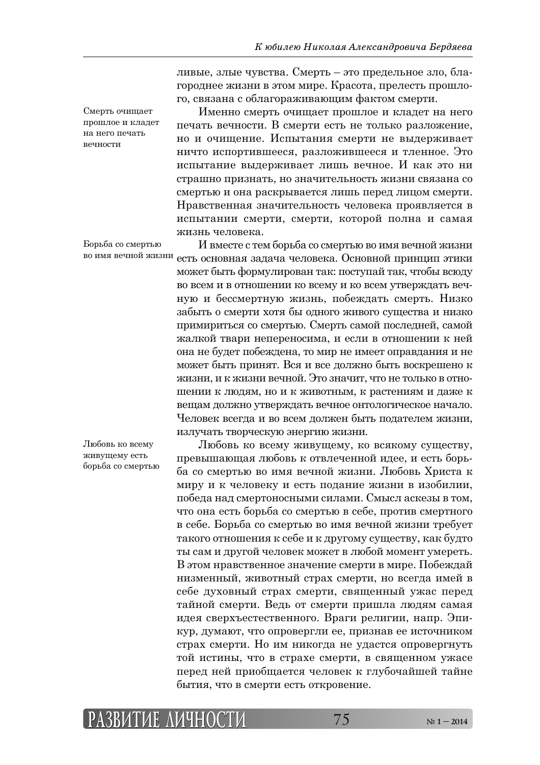ливые, злые чувства. Смерть – это предельное зло, благороднее жизни в этом мире. Красота, прелесть прошлого, связана с облагораживающим фактом смерти.

Именно смерть очищает прошлое и кладет на него печать вечности. В смерти есть не только разложение, но и очищение. Испытания смерти не выдерживает ничто испортившееся, разложившееся и тленное. Это испытание выдерживает лишь вечное. И как это ни страшно признать, но значительность жизни связана со смертью и она раскрывается лишь перед лицом смерти. Нравственная значительность человека проявляется в испытании смерти, смерти, которой полна и самая жизнь человека.

И вместе с тем борьба со смертью во имя вечной жизни есть основная задача человека. Основной принцип этики может быть формулирован так: поступай так, чтобы всюду во всем и в отношении ко всему и ко всем утверждать вечную и бессмертную жизнь, побеждать смерть. Низко забыть о смерти хотя бы одного живого существа и низко примириться со смертью. Смерть самой последней, самой жалкой твари непереносима, и если в отношении к ней она не будет побеждена, то мир не имеет оправдания и не может быть принят. Вся и все должно быть воскрешено к жизни, и к жизни вечной. Это значит, что не только в отнощении к людям, но и к животным, к растениям и даже к вещам должно утверждать вечное онтологическое начало. Человек всегда и во всем должен быть подателем жизни, излучать творческую энергию жизни. Борьба со смертью во имя вечной жизни

Любовь ко всему живушему есть борьба со смертью

Любовь ко всему живущему, ко всякому существу, превышающая любовь к отвлеченной идее, и есть борьба со смертью во имя вечной жизни. Любовь Христа к миру и к человеку и есть подание жизни в изобилии, победа над смертоносными силами. Смысл аскезы в том, что она есть борьба со смертью в себе, против смертного в себе. Борьба со смертью во имя вечной жизни требует такого отношения к себе и к другому существу, как будто ты сам и другой человек может в любой момент умереть. В этом нравственное значение смерти в мире. Побеждай низменный, животный страх смерти, но всегда имей в себе духовный страх смерти, священный ужас перед тайной смерти. Ведь от смерти пришла людям самая идея сверхъестественного. Враги религии, напр. Эпикур, думают, что опровергли ее, признав ее источником страх смерти. Но им никогда не удастся опровергнуть той истины, что в страхе смерти, в священном ужасе перед ней приобщается человек к глубочайшей тайне бытия, что в смерти есть откровение.



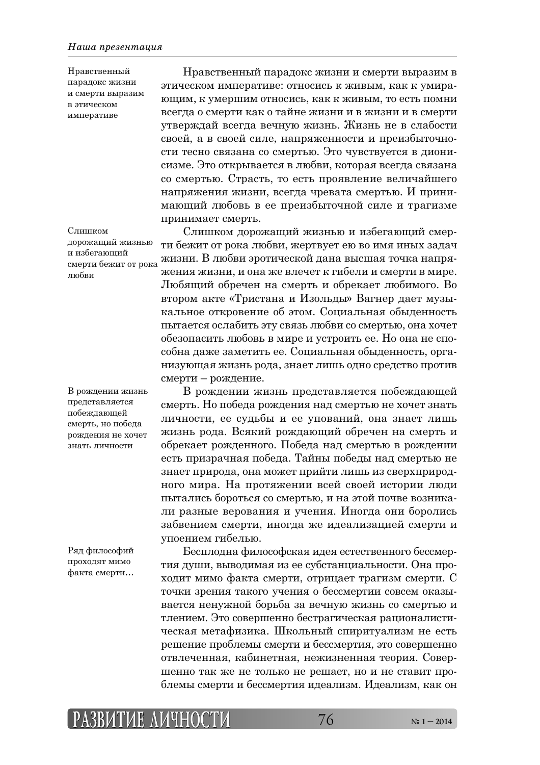Нравственный парадокс жизни и смерти выразим в этическом императиве

этическом императиве: относись к живым, как к умирающим, к умершим относись, как к живым, то есть помни всегда о смерти как о тайне жизни и в жизни и в смерти утверждай всегда вечную жизнь. Жизнь не в слабости своей, а в своей силе, напряженности и преизбыточности тесно связана со смертью. Это чувствуется в дионисизме. Это открывается в любви, которая всегда связана со смертью. Страсть, то есть проявление величайшего напряжения жизни, всегда чревата смертью. И принимающий любовь в ее преизбыточной силе и трагизме принимает смерть.

Нравственный парадокс жизни и смерти выразим в

Слишком дорожащий жизнью и избегающий смерти бежит от рока любви, жертвует ею во имя иных задач жизни. В любви эротической дана высшая точка напряжения жизни, и она же влечет к гибели и смерти в мире. Любящий обречен на смерть и обрекает любимого. Во втором акте «Тристана и Изольды» Вагнер дает музыкальное откровение об этом. Социальная обыденность пытается ослабить эту связь любви со смертью, она хочет обезопасить любовь в мире и устроить ее. Но она не способна даже заметить ее. Социальная обыденность, организующая жизнь рода, знает лишь одно средство против смерти – рождение.

В рождении жизнь представляется побеждающей смерть. Но победа рождения над смертью не хочет знать личности, ее судьбы и ее упований, она знает лишь жизнь рода. Всякий рождающий обречен на смерть и обрекает рожденного. Победа над смертью в рождении есть призрачная победа. Тайны победы над смертью не знает природа, она может прийти лишь из сверхприродного мира. На протяжении всей своей истории люди пытались бороться со смертью, и на этой почве возникали разные верования и учения. Иногда они боролись забвением смерти, иногда же идеализацией смерти и упоением гибелью.

Бесплодна философская идея естественного бессмертия души, выводимая из ее субстанциальности. Она проходит мимо факта смерти, отрицает трагизм смерти. С точки зрения такого учения о бессмертии совсем оказывается ненужной борьба за вечную жизнь со смертью и тлением. Это совершенно бестрагическая рационалистическая метафизика. Школьный спиритуализм не есть решение проблемы смерти и бессмертия, это совершенно отвлеченная, кабинетная, нежизненная теория. Соверщенно так же не только не решает, но и не ставит проблемы смерти и бессмертия идеализм. Идеализм, как он

 $C$ *THIIKOM* дорожащий жизнью и избегающий смерти бежит от рока любви

В рождении жизнь представляется побеждающей смерть, но побела рождения не хочет знать личности

Ряд философий проходят мимо факта смерти...

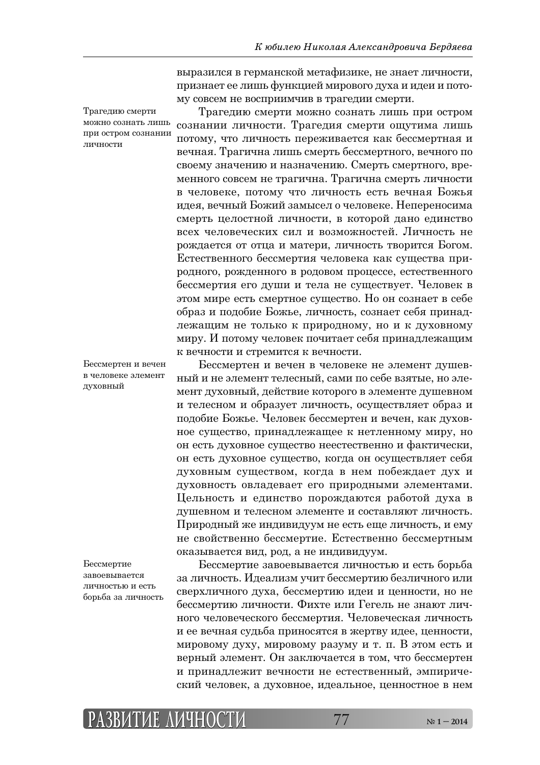Трагедию смерти можно сознать лишь при остром сознании личности

Бессмертен и вечен в человеке элемент духовный

Бессмертие завоевывается личностью и есть борьба за личность выразился в германской метафизике, не знает личности, признает ее лишь функцией мирового духа и идеи и потому совсем не восприимчив в трагедии смерти.

Трагедию смерти можно сознать лишь при остром сознании личности. Трагедия смерти ощутима лишь потому, что личность переживается как бессмертная и вечная. Трагична лишь смерть бессмертного, вечного по своему значению и назначению. Смерть смертного, временного совсем не трагична. Трагична смерть личности в человеке, потому что личность есть вечная Божья идея, вечный Божий замысел о человеке. Непереносима смерть целостной личности, в которой дано единство всех человеческих сил и возможностей. Личность не рождается от отца и матери, личность творится Богом. Естественного бессмертия человека как существа природного, рожденного в родовом процессе, естественного бессмертия его души и тела не существует. Человек в этом мире есть смертное существо. Но он сознает в себе образ и подобие Божье, личность, сознает себя принаддежащим не только к природному, но и к духовному миру. И потому человек почитает себя принадлежащим К ВЕЧНОСТИ И СТРЕМИТСЯ К ВЕЧНОСТИ.

Бессмертен и вечен в человеке не элемент душевный и не элемент телесный, сами по себе взятые, но элемент духовный, действие которого в элементе душевном и телесном и образует личность, осуществляет образ и подобие Божье. Человек бессмертен и вечен, как духовное существо, принадлежащее к нетленному миру, но он есть духовное существо неестественно и фактически, он есть духовное существо, когда он осуществляет себя духовным существом, когда в нем побеждает дух и духовность овладевает его природными элементами. Цельность и единство порождаются работой духа в душевном и телесном элементе и составляют личность. Природный же индивидуум не есть еще личность, и ему не свойственно бессмертие. Естественно бессмертным оказывается вид, род, а не индивидуум.

Бессмертие завоевывается личностью и есть борьба за личность. Идеализм учит бессмертию безличного или сверхличного духа, бессмертию идеи и ценности, но не бессмертию личности. Фихте или Гегель не знают личного человеческого бессмертия. Человеческая личность и ее вечная судьба приносятся в жертву идее, ценности, мировому духу, мировому разуму и т. п. В этом есть и верный элемент. Он заключается в том, что бессмертен и принадлежит вечности не естественный, эмпирический человек, а духовное, идеальное, ценностное в нем

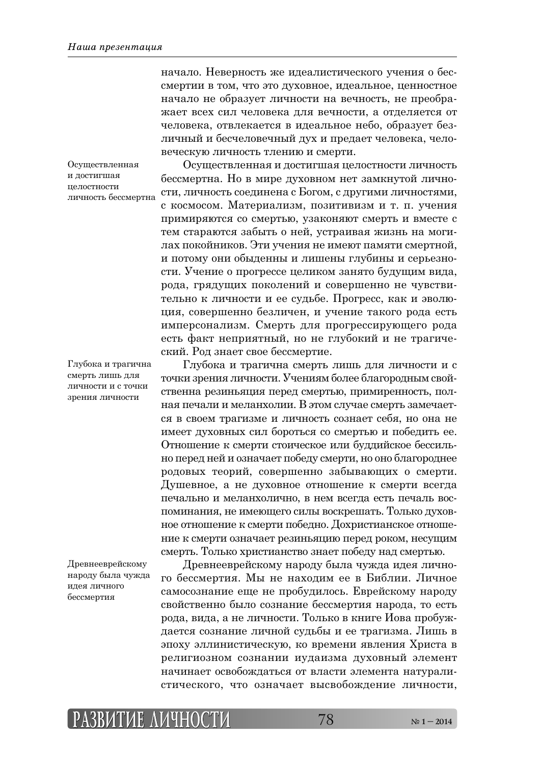начало. Неверность же идеалистического учения о бессмертии в том, что это духовное, идеальное, ценностное начало не образует личности на вечность, не преображает всех сил человека для вечности, а отделяется от человека, отвлекается в идеальное небо, образует безличный и бесчеловечный дух и предает человека, человеческую личность тлению и смерти.

Осуществленная и достигшая целостности личность бессмертна. Но в мире духовном нет замкнутой личности, личность соединена с Богом, с другими личностями, с космосом. Материализм, позитивизм и т. п. учения тримиряются со смертью, узаконяют смерть и вместе с

Осуществленная и достигшая телостности личность бессмертна

смерть лишь для личности и с точки зрения личности

тем стараются забыть о ней, устраивая жизнь на могилах покойников. Эти учения не имеют памяти смертной, и потому они обыденны и лишены глубины и серьезности. Учение о прогрессе целиком занято будущим вида, рода, грядущих поколений и совершенно не чувствительно к личности и ее судьбе. Прогресс, как и эволюция, совершенно безличен, и учение такого рода есть имперсонализм. Смерть для прогрессирующего рода есть факт неприятный, но не глубокий и не трагический. Род знает свое бессмертие. Глубока и трагична

Глубока и трагична смерть лишь для личности и с точки зрения личности. Учениям более благородным свойственна резиньяция перед смертью, примиренность, полная печали и меланхолии. В этом случае смерть замечается в своем трагизме и личность сознает себя, но она не имеет духовных сил бороться со смертью и победить ее. Отношение к смерти стоическое или буддийское бессильно перед ней и означает победу смерти, но оно благороднее родовых теорий, совершенно забывающих о смерти. Душевное, а не духовное отношение к смерти всегда течально и меланхолично, в нем всегда есть печаль востоминания, не имеющего силы воскрешать. Только духовное отношение к смерти победно. Дохристианское отношение к смерти означает резиньяцию перед роком, несущим смерть. Только христианство знает победу над смертью.

Древнееврейскому народу была чужда илея личного бессмертия

Древнееврейскому народу была чужда идея личного бессмертия. Мы не находим ее в Библии. Личное самосознание еще не пробудилось. Еврейскому народу свойственно было сознание бессмертия народа, то есть рода, вида, а не личности. Только в книге Иова пробуждается сознание личной судьбы и ее трагизма. Лишь в эпоху эллинистическую, ко времени явления Христа в религиозном сознании иудаизма духовный элемент начинает освобождаться от власти элемента натуралистического, что означает высвобождение личности,

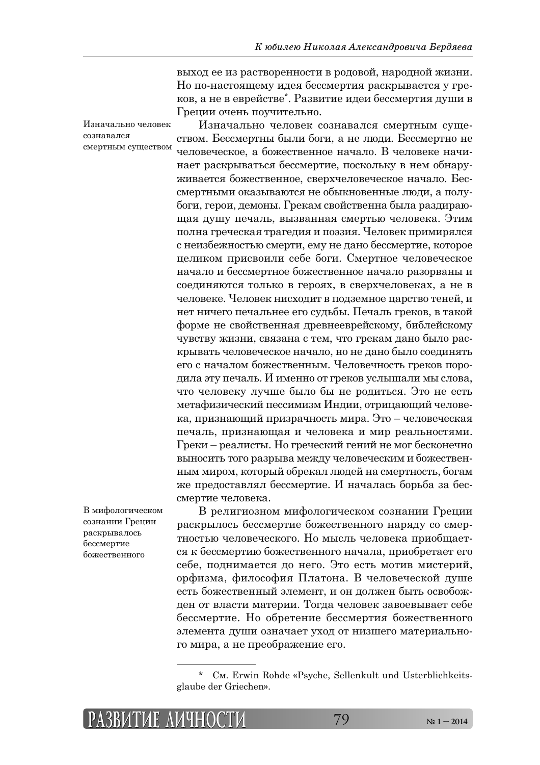выход ее из растворенности в родовой, народной жизни. Но по-настоящему идея бессмертия раскрывается у греков, а не в еврействе\*. Развитие идеи бессмертия души в Греции очень поучительно.

Изначально человек сознавался смертным существом. Бессмертны были боги, а не люди. Бессмертно не человеческое, а божественное начало. В человеке начинает раскрываться бессмертие, поскольку в нем обнаруживается божественное, сверхчеловеческое начало. Бессмертными оказываются не обыкновенные люди, а полубоги, герои, демоны. Грекам свойственна была раздирающая душу печаль, вызванная смертью человека. Этим полна греческая трагедия и поэзия. Человек примирялся с неизбежностью смерти, ему не дано бессмертие, которое деликом присвоили себе боги. Смертное человеческое начало и бессмертное божественное начало разорваны и соединяются только в героях, в сверхчеловеках, а не в человеке. Человек нисходит в подземное царство теней, и нет ничего печальнее его судьбы. Печаль греков, в такой форме не свойственная древнееврейскому, библейскому чувству жизни, связана с тем, что грекам дано было раскрывать человеческое начало, но не дано было соединять его с началом божественным. Человечность греков породила эту печаль. И именно от греков услышали мы слова, что человеку лучше было бы не родиться. Это не есть метафизический пессимизм Индии, отрицающий человека, признающий призрачность мира. Это – человеческая печаль, признающая и человека и мир реальностями. Греки – реалисты. Но греческий гений не мог бесконечно выносить того разрыва между человеческим и божественным миром, который обрекал людей на смертность. богам же предоставлял бессмертие. И началась борьба за бессмертие человека.

В мифологическом сознании Греции раскрывалось бессмертие божественного

Изначально человек

смертным существом

сознавался

В религиозном мифологическом сознании Греции раскрылось бессмертие божественного наряду со смертностью человеческого. Но мысль человека приобщается к бессмертию божественного начала, приобретает его себе, поднимается до него. Это есть мотив мистерий, орфизма, философия Платона. В человеческой душе есть божественный элемент, и он должен быть освобожден от власти материи. Тогда человек завоевывает себе бессмертие. Но обретение бессмертия божественного элемента души означает уход от низшего материального мира, а не преображение его.

См. Erwin Rohde «Psyche, Sellenkult und Usterblichkeitsglaube der Griechen».

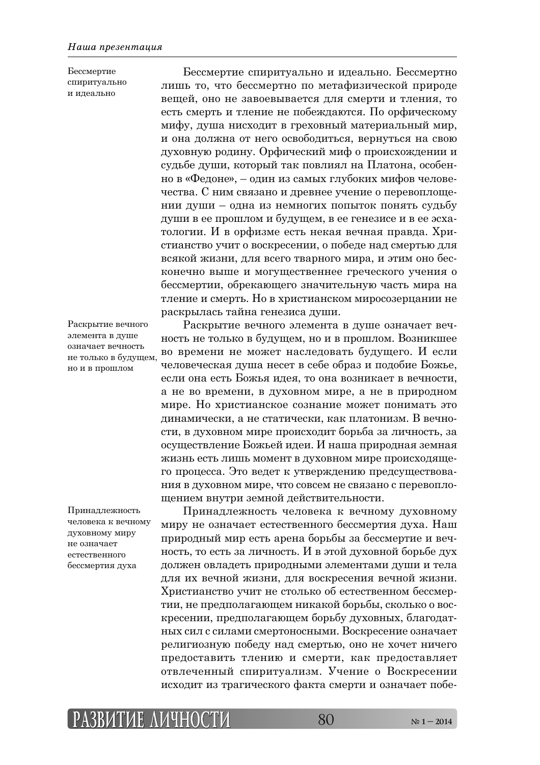Бессмертие спиритуально и идеально

Бессмертие спиритуально и идеально. Бессмертно лишь то, что бессмертно по метафизической природе вещей, оно не завоевывается для смерти и тления, то есть смерть и тление не побеждаются. По орфическому мифу, душа нисходит в греховный материальный мир, и она должна от него освободиться, вернуться на свою духовную родину. Орфический миф о происхождении и судьбе души, который так повлиял на Платона, особенно в «Федоне», – один из самых глубоких мифов человечества. С ним связано и древнее учение о перевоплощении души – одна из немногих попыток понять судьбу души в ее прошлом и будущем, в ее генезисе и в ее эсхатологии. И в орфизме есть некая вечная правда. Христианство учит о воскресении, о победе над смертью для всякой жизни, для всего тварного мира, и этим оно бесконечно выше и могущественнее греческого учения о бессмертии, обрекающего значительную часть мира на тление и смерть. Но в христианском миросозерцании не раскрылась тайна генезиса души.

Раскрытие вечного элемента в душе означает вечность не только в будущем, но и в прошлом

Принадлежность человека к вечному ДУХОВНОМУ МИРУ не означает естественного бессмертия духа

Раскрытие вечного элемента в душе означает вечность не только в будущем, но и в прошлом. Возникшее во времени не может наследовать будущего. И если человеческая душа несет в себе образ и подобие Божье, если она есть Божья идея, то она возникает в вечности, а не во времени, в духовном мире, а не в природном мире. Но христианское сознание может понимать это динамически, а не статически, как платонизм. В вечности, в духовном мире происходит борьба за личность, за осуществление Божьей идеи. И наша природная земная жизнь есть лишь момент в духовном мире происходящего процесса. Это ведет к утверждению предсуществования в духовном мире, что совсем не связано с перевоплощением внутри земной действительности.

Принадлежность человека к вечному духовному миру не означает естественного бессмертия духа. Наш природный мир есть арена борьбы за бессмертие и вечность, то есть за личность. И в этой духовной борьбе дух должен овладеть природными элементами души и тела для их вечной жизни, для воскресения вечной жизни. Христианство учит не столько об естественном бессмертии, не предполагающем никакой борьбы, сколько о воскресении, предполагающем борьбу духовных, благодатных сил с силами смертоносными. Воскресение означает религиозную победу над смертью, оно не хочет ничего предоставить тлению и смерти, как предоставляет отвлеченный спиритуализм. Учение о Воскресении исходит из трагического факта смерти и означает побе-

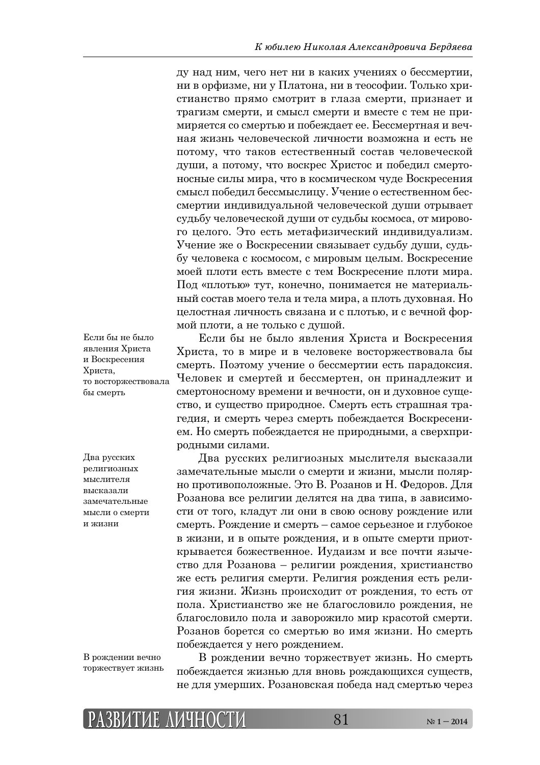ду над ним, чего нет ни в каких учениях о бессмертии, ни в орфизме, ни у Платона, ни в теософии. Только христианство прямо смотрит в глаза смерти, признает и трагизм смерти, и смысл смерти и вместе с тем не примиряется со смертью и побеждает ее. Бессмертная и вечная жизнь человеческой личности возможна и есть не потому, что таков естественный состав человеческой души, а потому, что воскрес Христос и победил смертоносные силы мира, что в космическом чуде Воскресения смысл победил бессмыслицу. Учение о естественном бессмертии индивидуальной человеческой души отрывает судьбу человеческой души от судьбы космоса, от мирового целого. Это есть метафизический индивидуализм. Учение же о Воскресении связывает судьбу души, судьбу человека с космосом, с мировым целым. Воскресение моей плоти есть вместе с тем Воскресение плоти мира. Под «плотью» тут, конечно, понимается не материальный состав моего тела и тела мира, а плоть духовная. Но целостная личность связана и с плотью, и с вечной формой плоти, а не только с душой.

Если бы не было явления Христа и Воскресения Христа, то восторжествовала бы смерть

Два русских религиозных мыслителя RЫCКЯЗЯ ПИ замечательные мысли о смерти и жизни

В рождении вечно торжествует жизнь

Если бы не было явления Христа и Воскресения Христа, то в мире и в человеке восторжествовала бы смерть. Поэтому учение о бессмертии есть парадоксия. Человек и смертей и бессмертен, он принадлежит и смертоносному времени и вечности, он и духовное существо, и существо природное. Смерть есть страшная тратедия, и смерть через смерть побеждается Воскресением. Но смерть побеждается не природными, а сверхприродными силами.

Два русских религиозных мыслителя высказали замечательные мысли о смерти и жизни, мысли полярно противоположные. Это В. Розанов и Н. Федоров. Для Розанова все религии делятся на два типа, в зависимости от того, кладут ли они в свою основу рождение или смерть. Рождение и смерть – самое серьезное и глубокое в жизни, и в опыте рождения, и в опыте смерти приоткрывается божественное. Иудаизм и все почти язычество для Розанова – религии рождения, христианство же есть религия смерти. Религия рождения есть религия жизни. Жизнь происходит от рождения, то есть от пола. Христианство же не благословило рождения, не благословило пола и заворожило мир красотой смерти. Розанов борется со смертью во имя жизни. Но смерть побеждается у него рождением.

В рождении вечно торжествует жизнь. Но смерть побеждается жизнью для вновь рождающихся существ, не для умерших. Розановская победа над смертью через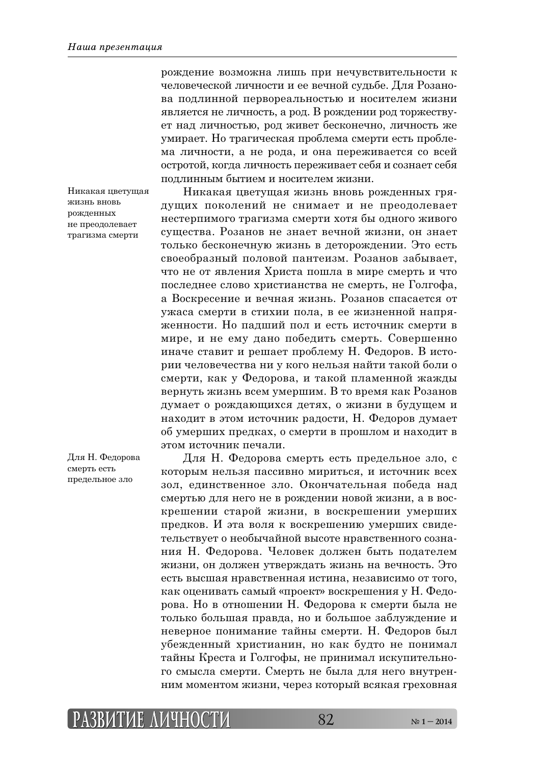Никакая цветущая ЖИЗНЬ ВНОВЬ рожденных не преодолевает трагизма смерти

Для Н. Федорова смерть есть предельное зло

рождение возможна лишь при нечувствительности к человеческой личности и ее вечной судьбе. Для Розанова подлинной первореальностью и носителем жизни является не личность, а род. В рождении род торжествует над личностью, род живет бесконечно, личность же умирает. Но трагическая проблема смерти есть проблема личности, а не рода, и она переживается со всей остротой, когда личность переживает себя и сознает себя подлинным бытием и носителем жизни.

Никакая цветущая жизнь вновь рожденных грядущих поколений не снимает и не преодолевает нестерпимого трагизма смерти хотя бы одного живого существа. Розанов не знает вечной жизни, он знает только бесконечную жизнь в деторождении. Это есть своеобразный половой пантеизм. Розанов забывает, что не от явления Христа пошла в мире смерть и что последнее слово христианства не смерть, не Голгофа, а Воскресение и вечная жизнь. Розанов спасается от ужаса смерти в стихии пола, в ее жизненной напряженности. Но падший пол и есть источник смерти в мире, и не ему дано победить смерть. Совершенно иначе ставит и решает проблему Н. Федоров. В истории человечества ни у кого нельзя найти такой боли о смерти, как у Федорова, и такой пламенной жажды вернуть жизнь всем умершим. В то время как Розанов думает о рождающихся детях, о жизни в будущем и находит в этом источник радости, Н. Федоров думает об умерших предках, о смерти в прошлом и находит в этом источник печали.

Для Н. Федорова смерть есть предельное зло, с которым нельзя пассивно мириться, и источник всех зол, единственное зло. Окончательная победа над смертью для него не в рождении новой жизни, а в воскрешении старой жизни, в воскрешении умерших предков. И эта воля к воскрешению умерших свидетельствует о необычайной высоте нравственного сознания Н. Федорова. Человек должен быть подателем жизни, он должен утверждать жизнь на вечность. Это есть высшая нравственная истина, независимо от того, как оценивать самый «проект» воскрешения у Н. Федорова. Но в отношении Н. Федорова к смерти была не только большая правда, но и большое заблуждение и неверное понимание тайны смерти. Н. Федоров был убежденный христианин, но как будто не понимал тайны Креста и Голгофы, не принимал искупительното смысла смерти. Смерть не была для него внутренним моментом жизни, через который всякая греховная

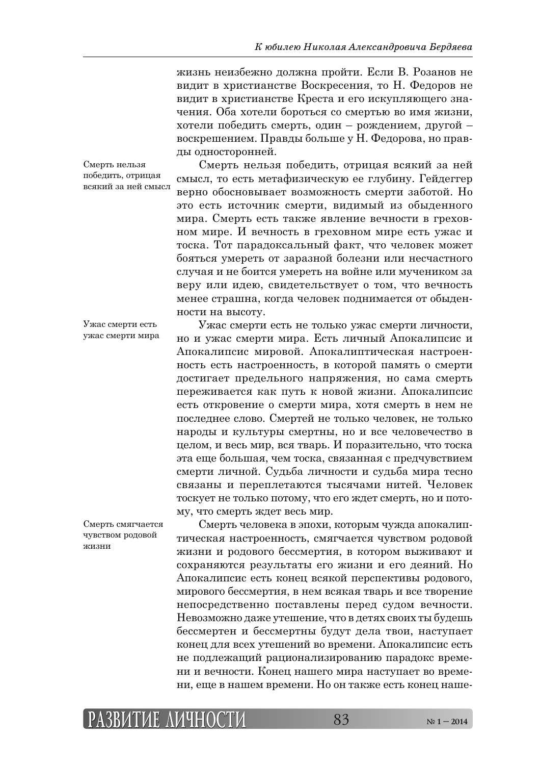жизнь неизбежно должна пройти. Если В. Розанов не видит в христианстве Воскресения, то Н. Федоров не видит в христианстве Креста и его искупляющего значения. Оба хотели бороться со смертью во имя жизни, хотели победить смерть, один – рождением, другой – воскрешением. Правды больше у Н. Федорова, но правды односторонней.

Смерть нельзя победить, отрицая всякий за ней смысл

Смерть нельзя победить, отрицая всякий за ней смысл, то есть метафизическую ее глубину. Гейдеггер верно обосновывает возможность смерти заботой. Но это есть источник смерти, вилимый из обыленного мира. Смерть есть также явление вечности в греховном мире. И вечность в греховном мире есть ужас и тоска. Тот парадоксальный факт, что человек может бояться умереть от заразной болезни или несчастного случая и не боится умереть на войне или мучеником за веру или идею, свидетельствует о том, что вечность менее страшна, когда человек поднимается от обыденности на высоту.

Ужас смерти есть не только ужас смерти личности,

Ужас смерти есть ужас смерти мира

но и ужас смерти мира. Есть личный Апокалипсис и Апокалипсис мировой. Апокалиптическая настроенность есть настроенность, в которой память о смерти достигает предельного напряжения, но сама смерть переживается как путь к новой жизни. Апокалипсис есть откровение о смерти мира, хотя смерть в нем не последнее слово. Смертей не только человек, не только народы и культуры смертны, но и все человечество в целом, и весь мир, вся тварь. И поразительно, что тоска эта еще большая, чем тоска, связанная с предчувствием смерти личной. Судьба личности и судьба мира тесно связаны и переплетаются тысячами нитей. Человек тоскует не только потому, что его ждет смерть, но и потому, что смерть ждет весь мир.

Смерть человека в эпохи, которым чужда апокалиптическая настроенность, смягчается чувством родовой жизни и родового бессмертия, в котором выживают и сохраняются результаты его жизни и его деяний. Но Апокалипсис есть конец всякой перспективы родового, мирового бессмертия, в нем всякая тварь и все творение непосредственно поставлены перед судом вечности. Невозможно даже утешение, что в детях своих ты будешь бессмертен и бессмертны будут дела твои, наступает конец для всех утешений во времени. Апокалипсис есть не подлежащий рационализированию парадокс времени и вечности. Конец нашего мира наступает во времени, еще в нашем времени. Но он также есть конец наше-

Смерть смягчается чувством родовой жизни

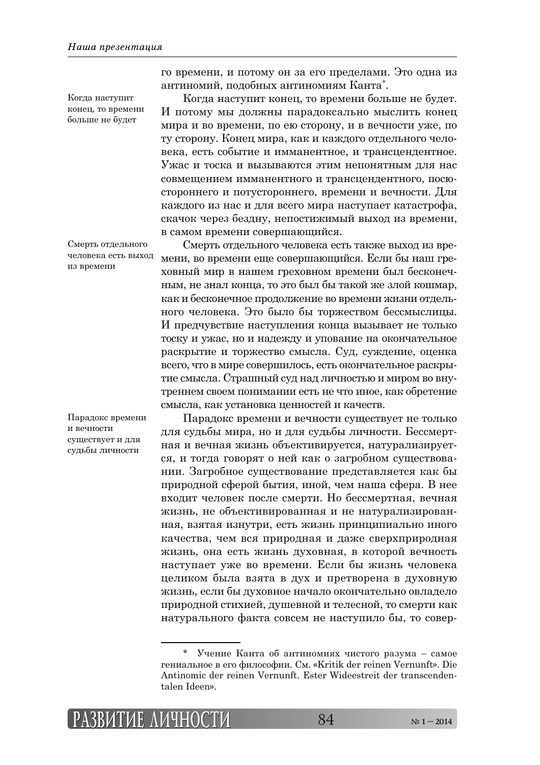Когда наступит конец, то времени больше не будет

Смерть отдельного человека есть выход из времени

Парадокс времени и вечности существует и для судьбы личности

то времени, и потому он за его пределами. Это одна из антиномий, подобных антиномиям Канта\*.

Когда наступит конец, то времени больше не будет. И потому мы должны парадоксально мыслить конец мира и во времени, по ею сторону, и в вечности уже, по ту сторону. Конец мира, как и каждого отдельного человека, есть событие и имманентное, и трансцендентное. Ужас и тоска и вызываются этим непонятным для нас совмещением имманентного и трансцендентного, посюстороннего и потустороннего, времени и вечности. Для каждого из нас и для всего мира наступает катастрофа, скачок через бездну, непостижимый выход из времени, в самом времени совершающийся.

Смерть отдельного человека есть также выход из времени, во времени еще совершающийся. Если бы наш греховный мир в нашем греховном времени был бесконечным, не знал конца, то это был бы такой же злой кошмар, как и бесконечное продолжение во времени жизни отдельного человека. Это было бы торжеством бессмыслицы. И предчувствие наступления конца вызывает не только тоску и ужас, но и надежду и упование на окончательное раскрытие и торжество смысла. Суд, суждение, оценка всего, что в мире совершилось, есть окончательное раскрытие смысла. Страшный суд над личностью и миром во внутреннем своем понимании есть не что иное, как обретение смысла, как установка ценностей и качеств.

Парадокс времени и вечности существует не только для судьбы мира, но и для судьбы личности. Бессмертная и вечная жизнь объективируется, натурализируется, и тогда говорят о ней как о загробном существовании. Загробное существование представляется как бы природной сферой бытия, иной, чем наша сфера. В нее входит человек после смерти. Но бессмертная, вечная жизнь, не объективированная и не натурализированная, взятая изнутри, есть жизнь принципиально иного качества, чем вся природная и даже сверхприродная жизнь, она есть жизнь духовная, в которой вечность наступает уже во времени. Если бы жизнь человека целиком была взята в дух и претворена в духовную жизнь, если бы духовное начало окончательно овладело природной стихией, душевной и телесной, то смерти как натурального факта совсем не наступило бы, то совер-

Учение Канта об антиномиях чистого разума – самое гениальное в его философии. См. «Kritik der reinen Vernunft». Die Antinomic der reinen Vernunft. Ester Wideestreit der transcendentalen Ideen».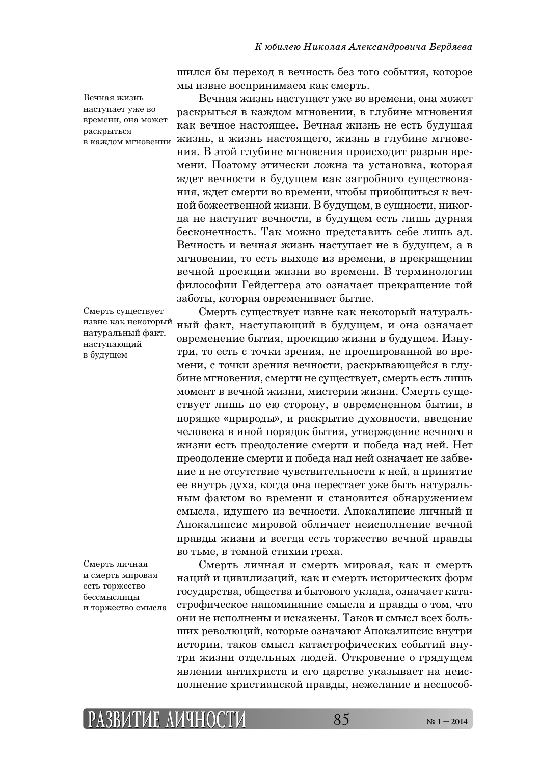Вечная жизнь наступает уже во времени, она может раскрыться

Смерть существует извне как некоторый натуральный факт, наступающий в будущем

Смерть личная и смерть мировая есть торжество бессмыслицы и торжество смысла щился бы переход в вечность без того события, которое мы извне воспринимаем как смерть.

Вечная жизнь наступает уже во времени, она может раскрыться в каждом мгновении, в глубине мгновения как вечное настоящее. Вечная жизнь не есть будущая в каждом мгновении ЖИЗНЬ, а ЖИЗНЬ НАСТОЯЩЕГО, ЖИЗНЬ В ГЛУбИНЕ МГНОВЕния. В этой глубине мгновения происходит разрыв времени. Поэтому этически ложна та установка, которая ждет вечности в будущем как загробного существования, ждет смерти во времени, чтобы приобщиться к вечной божественной жизни. В будущем, в сущности, никогда не наступит вечности, в будущем есть лишь дурная бесконечность. Так можно представить себе лишь ад. Вечность и вечная жизнь наступает не в будущем, а в игновении, то есть выходе из времени, в прекращении вечной проекции жизни во времени. В терминологии философии Гейдеггера это означает прекращение той заботы, которая овременивает бытие.

> Смерть существует извне как некоторый натуральный факт, наступающий в будущем, и она означает овременение бытия, проекцию жизни в будущем. Изнутри, то есть с точки зрения, не проецированной во времени, с точки зрения вечности, раскрывающейся в глубине мгновения, смерти не существует, смерть есть лишь момент в вечной жизни, мистерии жизни. Смерть существует лишь по ею сторону, в овремененном бытии, в порядке «природы», и раскрытие духовности, введение человека в иной порядок бытия, утверждение вечного в жизни есть преодоление смерти и победа над ней. Нет преодоление смерти и победа над ней означает не забвение и не отсутствие чувствительности к ней, а принятие ее внутрь духа, когда она перестает уже быть натуральным фактом во времени и становится обнаружением смысла, идущего из вечности. Апокалипсис личный и Апокалипсис мировой обличает неисполнение вечной правды жизни и всегда есть торжество вечной правды во тьме, в темной стихии греха.

> Смерть личная и смерть мировая, как и смерть наций и цивилизаций, как и смерть исторических форм государства, общества и бытового уклада, означает катастрофическое напоминание смысла и правды о том, что они не исполнены и искажены. Таков и смысл всех больших революций, которые означают Апокалипсис внутри истории, таков смысл катастрофических событий внутри жизни отдельных людей. Откровение о грядущем явлении антихриста и его царстве указывает на неисполнение христианской правды, нежелание и неспособ-

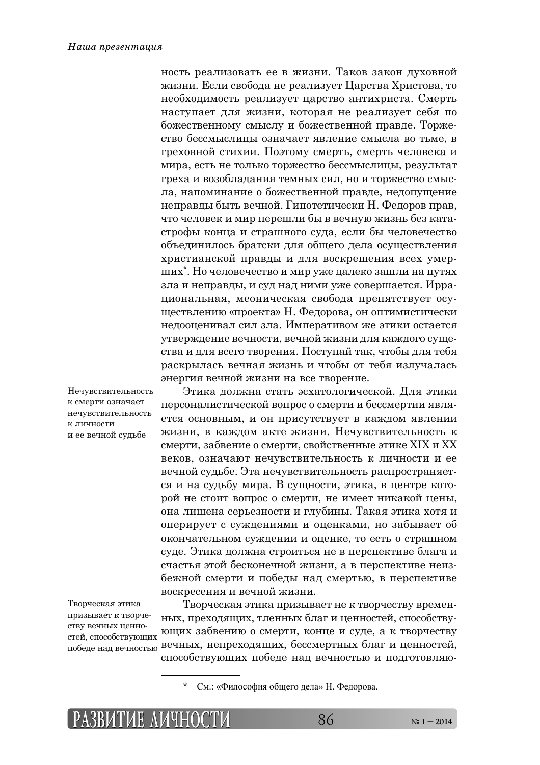ность реализовать ее в жизни. Таков закон духовной жизни. Если свобода не реализует Царства Христова, то необходимость реализует царство антихриста. Смерть наступает для жизни, которая не реализует себя по божественному смыслу и божественной правде. Торжество бессмыслицы означает явление смысла во тьме, в греховной стихии. Поэтому смерть, смерть человека и мира, есть не только торжество бессмыслицы, результат греха и возобладания темных сил, но и торжество смысла, напоминание о божественной правде, недопущение неправды быть вечной. Гипотетически Н. Федоров прав, что человек и мир перешли бы в вечную жизнь без катастрофы конца и страшного суда, если бы человечество объединилось братски для общего дела осуществления христианской правды и для воскрешения всех умерших\*. Но человечество и мир уже далеко зашли на путях зла и неправды, и суд над ними уже совершается. Иррациональная, меоническая свобода препятствует осуществлению «проекта» Н. Федорова, он оптимистически недооценивал сил зла. Императивом же этики остается утверждение вечности, вечной жизни для каждого существа и для всего творения. Поступай так, чтобы для тебя раскрылась вечная жизнь и чтобы от тебя излучалась энергия вечной жизни на все творение.

Этика должна стать эсхатологической. Для этики персоналистической вопрос о смерти и бессмертии является основным, и он присутствует в каждом явлении жизни, в каждом акте жизни. Нечувствительность к смерти, забвение о смерти, свойственные этике XIX и XX веков, означают нечувствительность к личности и ее вечной судьбе. Эта нечувствительность распространяется и на судьбу мира. В сущности, этика, в центре которой не стоит вопрос о смерти, не имеет никакой цены, она лишена серьезности и глубины. Такая этика хотя и оперирует с суждениями и оценками, но забывает об окончательном суждении и оценке, то есть о страшном суде. Этика должна строиться не в перспективе блага и счастья этой бесконечной жизни, а в перспективе неизбежной смерти и победы над смертью, в перспективе воскресения и вечной жизни. Нечувствительность

к смерти означает нечувствительность к личности и ее вечной судьбе

Творческая этика призывает к творчеству вечных ценностей, способствующих

Творческая этика призывает не к творчеству временных, преходящих, тленных благ и ценностей, способствующих забвению о смерти, конце и суде, а к творчеству лобеде над вечностью вечных, непреходящих, бессмертных благ и ценностей, способствующих победе над вечностью и подготовляю-

<sup>\*</sup> См.: «Философия общего дела» Н. Федорова.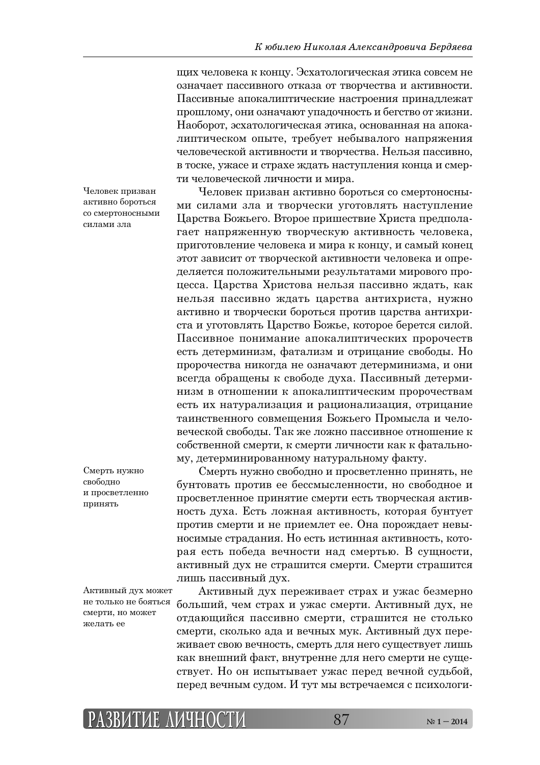щих человека к концу. Эсхатологическая этика совсем не означает пассивного отказа от творчества и активности. Пассивные апокалиптические настроения принадлежат прошлому, они означают упадочность и бегство от жизни. Наоборот, эсхатологическая этика, основанная на апокалиптическом опыте, требует небывалого напряжения человеческой активности и творчества. Нельзя пассивно, в тоске, ужасе и страхе ждать наступления конца и смерти человеческой личности и мира.

Человек призван активно бороться со смертоносными силами зла

Смерть нужно своболно и просветленно принять

Активный дух может не только не бояться смерти, но может желать ее

Человек призван активно бороться со смертоносными силами зла и творчески уготовлять наступление Царства Божьего. Второе пришествие Христа предполагает напряженную творческую активность человека, приготовление человека и мира к концу, и самый конец этот зависит от творческой активности человека и определяется положительными результатами мирового процесса. Царства Христова нельзя пассивно ждать, как нельзя пассивно ждать царства антихриста, нужно активно и творчески бороться против царства антихриста и уготовлять Царство Божье, которое берется силой. Пассивное понимание апокалиптических пророчеств есть детерминизм, фатализм и отрицание свободы. Но пророчества никогда не означают детерминизма, и они всегда обращены к свободе духа. Пассивный детерминизм в отношении к апокалиптическим пророчествам есть их натурализация и рационализация, отрицание таинственного совмещения Божьего Промысла и человеческой свободы. Так же ложно пассивное отношение к собственной смерти, к смерти личности как к фатальному, детерминированному натуральному факту.

Смерть нужно свободно и просветленно принять, не бунтовать против ее бессмысленности, но свободное и просветленное принятие смерти есть творческая активность духа. Есть ложная активность, которая бунтует против смерти и не приемлет ее. Она порождает невыносимые страдания. Но есть истинная активность, которая есть победа вечности над смертью. В сущности, активный дух не страшится смерти. Смерти страшится лишь пассивный дух.

Активный дух переживает страх и ужас безмерно больший, чем страх и ужас смерти. Активный дух, не отдающийся пассивно смерти, страшится не столько смерти, сколько ада и вечных мук. Активный дух переживает свою вечность, смерть для него существует лишь как внешний факт, внутренне для него смерти не существует. Но он испытывает ужас перед вечной судьбой, перед вечным судом. И тут мы встречаемся с психологи-